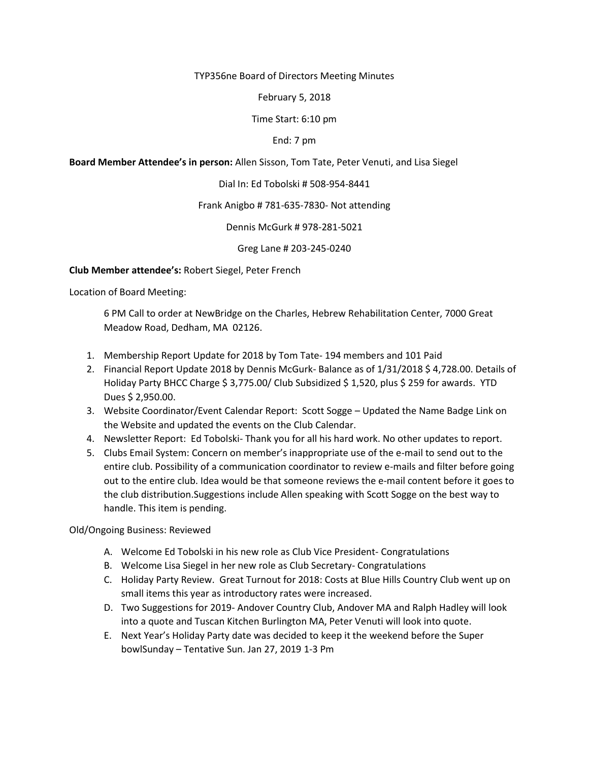TYP356ne Board of Directors Meeting Minutes

February 5, 2018

Time Start: 6:10 pm

End: 7 pm

**Board Member Attendee's in person:** Allen Sisson, Tom Tate, Peter Venuti, and Lisa Siegel

Dial In: Ed Tobolski # 508-954-8441

Frank Anigbo # 781-635-7830- Not attending

Dennis McGurk # 978-281-5021

Greg Lane # 203-245-0240

**Club Member attendee's:** Robert Siegel, Peter French

Location of Board Meeting:

6 PM Call to order at NewBridge on the Charles, Hebrew Rehabilitation Center, 7000 Great Meadow Road, Dedham, MA 02126.

- 1. Membership Report Update for 2018 by Tom Tate- 194 members and 101 Paid
- 2. Financial Report Update 2018 by Dennis McGurk- Balance as of 1/31/2018 \$ 4,728.00. Details of Holiday Party BHCC Charge \$ 3,775.00/ Club Subsidized \$ 1,520, plus \$ 259 for awards. YTD Dues \$ 2,950.00.
- 3. Website Coordinator/Event Calendar Report: Scott Sogge Updated the Name Badge Link on the Website and updated the events on the Club Calendar.
- 4. Newsletter Report: Ed Tobolski- Thank you for all his hard work. No other updates to report.
- 5. Clubs Email System: Concern on member's inappropriate use of the e-mail to send out to the entire club. Possibility of a communication coordinator to review e-mails and filter before going out to the entire club. Idea would be that someone reviews the e-mail content before it goes to the club distribution.Suggestions include Allen speaking with Scott Sogge on the best way to handle. This item is pending.

Old/Ongoing Business: Reviewed

- A. Welcome Ed Tobolski in his new role as Club Vice President- Congratulations
- B. Welcome Lisa Siegel in her new role as Club Secretary- Congratulations
- C. Holiday Party Review. Great Turnout for 2018: Costs at Blue Hills Country Club went up on small items this year as introductory rates were increased.
- D. Two Suggestions for 2019- Andover Country Club, Andover MA and Ralph Hadley will look into a quote and Tuscan Kitchen Burlington MA, Peter Venuti will look into quote.
- E. Next Year's Holiday Party date was decided to keep it the weekend before the Super bowlSunday – Tentative Sun. Jan 27, 2019 1-3 Pm